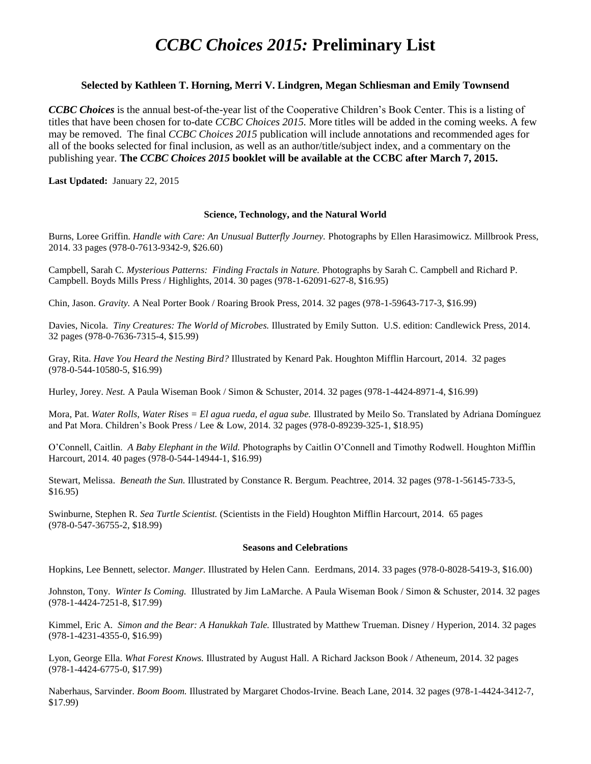# *CCBC Choices 2015:* **Preliminary List**

# **Selected by Kathleen T. Horning, Merri V. Lindgren, Megan Schliesman and Emily Townsend**

*CCBC Choices* is the annual best-of-the-year list of the Cooperative Children's Book Center. This is a listing of titles that have been chosen for to-date *CCBC Choices 2015.* More titles will be added in the coming weeks. A few may be removed. The final *CCBC Choices 2015* publication will include annotations and recommended ages for all of the books selected for final inclusion, as well as an author/title/subject index, and a commentary on the publishing year. **The** *CCBC Choices 2015* **booklet will be available at the CCBC after March 7, 2015.**

**Last Updated:** January 22, 2015

# **Science, Technology, and the Natural World**

Burns, Loree Griffin. *Handle with Care: An Unusual Butterfly Journey.* Photographs by Ellen Harasimowicz. Millbrook Press, 2014. 33 pages (978-0-7613-9342-9, \$26.60)

Campbell, Sarah C. *Mysterious Patterns: Finding Fractals in Nature.* Photographs by Sarah C. Campbell and Richard P. Campbell. Boyds Mills Press / Highlights, 2014. 30 pages (978-1-62091-627-8, \$16.95)

Chin, Jason. *Gravity.* A Neal Porter Book / Roaring Brook Press, 2014. 32 pages (978-1-59643-717-3, \$16.99)

Davies, Nicola. *Tiny Creatures: The World of Microbes.* Illustrated by Emily Sutton. U.S. edition: Candlewick Press, 2014. 32 pages (978-0-7636-7315-4, \$15.99)

Gray, Rita. *Have You Heard the Nesting Bird?* Illustrated by Kenard Pak. Houghton Mifflin Harcourt, 2014. 32 pages (978-0-544-10580-5, \$16.99)

Hurley, Jorey. *Nest.* A Paula Wiseman Book / Simon & Schuster, 2014. 32 pages (978-1-4424-8971-4, \$16.99)

Mora, Pat. *Water Rolls, Water Rises = El agua rueda, el agua sube.* Illustrated by Meilo So. Translated by Adriana Domínguez and Pat Mora. Children's Book Press / Lee & Low, 2014. 32 pages (978-0-89239-325-1, \$18.95)

O'Connell, Caitlin. *A Baby Elephant in the Wild.* Photographs by Caitlin O'Connell and Timothy Rodwell. Houghton Mifflin Harcourt, 2014. 40 pages (978-0-544-14944-1, \$16.99)

Stewart, Melissa. *Beneath the Sun.* Illustrated by Constance R. Bergum. Peachtree, 2014. 32 pages (978-1-56145-733-5, \$16.95)

Swinburne, Stephen R. *Sea Turtle Scientist.* (Scientists in the Field) Houghton Mifflin Harcourt, 2014. 65 pages (978-0-547-36755-2, \$18.99)

## **Seasons and Celebrations**

Hopkins, Lee Bennett, selector. *Manger.* Illustrated by Helen Cann. Eerdmans, 2014. 33 pages (978-0-8028-5419-3, \$16.00)

Johnston, Tony. *Winter Is Coming.* Illustrated by Jim LaMarche. A Paula Wiseman Book / Simon & Schuster, 2014. 32 pages (978-1-4424-7251-8, \$17.99)

Kimmel, Eric A. *Simon and the Bear: A Hanukkah Tale.* Illustrated by Matthew Trueman. Disney / Hyperion, 2014. 32 pages (978-1-4231-4355-0, \$16.99)

Lyon, George Ella. *What Forest Knows.* Illustrated by August Hall. A Richard Jackson Book / Atheneum, 2014. 32 pages (978-1-4424-6775-0, \$17.99)

Naberhaus, Sarvinder. *Boom Boom.* Illustrated by Margaret Chodos-Irvine. Beach Lane, 2014. 32 pages (978-1-4424-3412-7, \$17.99)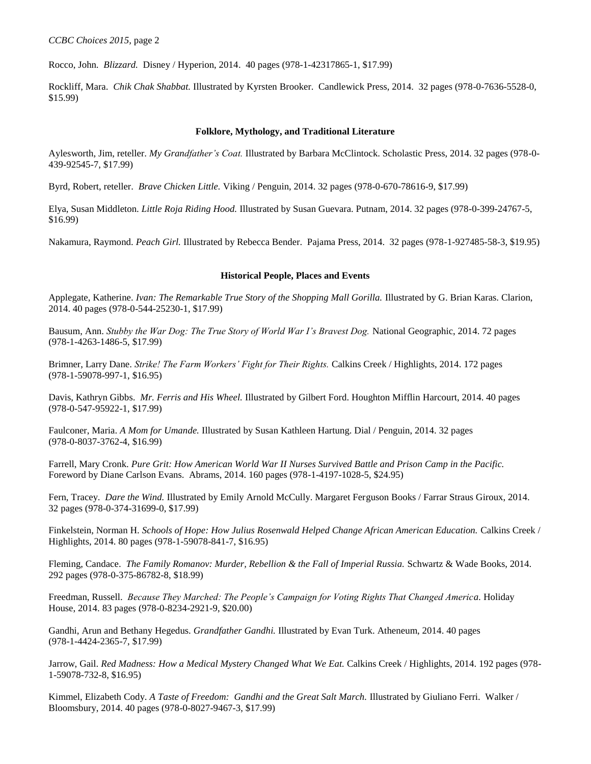Rocco, John. *Blizzard.* Disney / Hyperion, 2014. 40 pages (978-1-42317865-1, \$17.99)

Rockliff, Mara. *Chik Chak Shabbat.* Illustrated by Kyrsten Brooker. Candlewick Press, 2014. 32 pages (978-0-7636-5528-0, \$15.99)

## **Folklore, Mythology, and Traditional Literature**

Aylesworth, Jim, reteller. *My Grandfather's Coat.* Illustrated by Barbara McClintock. Scholastic Press, 2014. 32 pages (978-0- 439-92545-7, \$17.99)

Byrd, Robert, reteller. *Brave Chicken Little.* Viking / Penguin, 2014. 32 pages (978-0-670-78616-9, \$17.99)

Elya, Susan Middleton. *Little Roja Riding Hood.* Illustrated by Susan Guevara. Putnam, 2014. 32 pages (978-0-399-24767-5, \$16.99)

Nakamura, Raymond. *Peach Girl.* Illustrated by Rebecca Bender. Pajama Press, 2014. 32 pages (978-1-927485-58-3, \$19.95)

## **Historical People, Places and Events**

Applegate, Katherine. *Ivan: The Remarkable True Story of the Shopping Mall Gorilla.* Illustrated by G. Brian Karas. Clarion, 2014. 40 pages (978-0-544-25230-1, \$17.99)

Bausum, Ann. *Stubby the War Dog: The True Story of World War I's Bravest Dog.* National Geographic, 2014. 72 pages (978-1-4263-1486-5, \$17.99)

Brimner, Larry Dane. *Strike! The Farm Workers' Fight for Their Rights.* Calkins Creek / Highlights, 2014. 172 pages (978-1-59078-997-1, \$16.95)

Davis, Kathryn Gibbs. *Mr. Ferris and His Wheel.* Illustrated by Gilbert Ford. Houghton Mifflin Harcourt, 2014. 40 pages (978-0-547-95922-1, \$17.99)

Faulconer, Maria. *A Mom for Umande.* Illustrated by Susan Kathleen Hartung. Dial / Penguin, 2014. 32 pages (978-0-8037-3762-4, \$16.99)

Farrell, Mary Cronk. *Pure Grit: How American World War II Nurses Survived Battle and Prison Camp in the Pacific.* Foreword by Diane Carlson Evans. Abrams, 2014. 160 pages (978-1-4197-1028-5, \$24.95)

Fern, Tracey. *Dare the Wind.* Illustrated by Emily Arnold McCully. Margaret Ferguson Books / Farrar Straus Giroux, 2014. 32 pages (978-0-374-31699-0, \$17.99)

Finkelstein, Norman H. *Schools of Hope: How Julius Rosenwald Helped Change African American Education.* Calkins Creek / Highlights, 2014. 80 pages (978-1-59078-841-7, \$16.95)

Fleming, Candace. *The Family Romanov: Murder, Rebellion & the Fall of Imperial Russia.* Schwartz & Wade Books, 2014. 292 pages (978-0-375-86782-8, \$18.99)

Freedman, Russell. *Because They Marched: The People's Campaign for Voting Rights That Changed America.* Holiday House, 2014. 83 pages (978-0-8234-2921-9, \$20.00)

Gandhi, Arun and Bethany Hegedus. *Grandfather Gandhi.* Illustrated by Evan Turk. Atheneum, 2014. 40 pages (978-1-4424-2365-7, \$17.99)

Jarrow, Gail. *Red Madness: How a Medical Mystery Changed What We Eat.* Calkins Creek / Highlights, 2014. 192 pages (978- 1-59078-732-8, \$16.95)

Kimmel, Elizabeth Cody. *A Taste of Freedom: Gandhi and the Great Salt March.* Illustrated by Giuliano Ferri. Walker / Bloomsbury, 2014. 40 pages (978-0-8027-9467-3, \$17.99)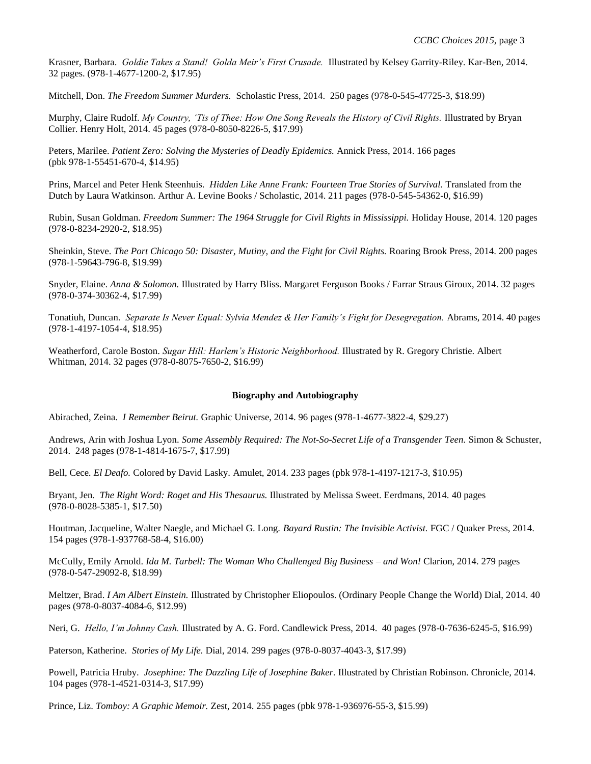Krasner, Barbara. *Goldie Takes a Stand! Golda Meir's First Crusade.* Illustrated by Kelsey Garrity-Riley. Kar-Ben, 2014. 32 pages. (978-1-4677-1200-2, \$17.95)

Mitchell, Don. *The Freedom Summer Murders.* Scholastic Press, 2014. 250 pages (978-0-545-47725-3, \$18.99)

Murphy, Claire Rudolf. *My Country, 'Tis of Thee: How One Song Reveals the History of Civil Rights.* Illustrated by Bryan Collier. Henry Holt, 2014. 45 pages (978-0-8050-8226-5, \$17.99)

Peters, Marilee. *Patient Zero: Solving the Mysteries of Deadly Epidemics.* Annick Press, 2014. 166 pages (pbk 978-1-55451-670-4, \$14.95)

Prins, Marcel and Peter Henk Steenhuis. *Hidden Like Anne Frank: Fourteen True Stories of Survival*. Translated from the Dutch by Laura Watkinson. Arthur A. Levine Books / Scholastic, 2014. 211 pages (978-0-545-54362-0, \$16.99)

Rubin, Susan Goldman. *Freedom Summer: The 1964 Struggle for Civil Rights in Mississippi.* Holiday House, 2014. 120 pages (978-0-8234-2920-2, \$18.95)

Sheinkin, Steve. *The Port Chicago 50: Disaster, Mutiny, and the Fight for Civil Rights.* Roaring Brook Press, 2014. 200 pages (978-1-59643-796-8, \$19.99)

Snyder, Elaine. *Anna & Solomon.* Illustrated by Harry Bliss. Margaret Ferguson Books / Farrar Straus Giroux, 2014. 32 pages (978-0-374-30362-4, \$17.99)

Tonatiuh, Duncan. *Separate Is Never Equal: Sylvia Mendez & Her Family's Fight for Desegregation.* Abrams, 2014. 40 pages (978-1-4197-1054-4, \$18.95)

Weatherford, Carole Boston. *Sugar Hill: Harlem's Historic Neighborhood.* Illustrated by R. Gregory Christie. Albert Whitman, 2014. 32 pages (978-0-8075-7650-2, \$16.99)

#### **Biography and Autobiography**

Abirached, Zeina. *I Remember Beirut.* Graphic Universe, 2014. 96 pages (978-1-4677-3822-4, \$29.27)

Andrews, Arin with Joshua Lyon. *Some Assembly Required: The Not-So-Secret Life of a Transgender Teen.* Simon & Schuster, 2014. 248 pages (978-1-4814-1675-7, \$17.99)

Bell, Cece*. El Deafo.* Colored by David Lasky. Amulet, 2014. 233 pages (pbk 978-1-4197-1217-3, \$10.95)

Bryant, Jen. *The Right Word: Roget and His Thesaurus.* Illustrated by Melissa Sweet. Eerdmans, 2014. 40 pages (978-0-8028-5385-1, \$17.50)

Houtman, Jacqueline, Walter Naegle, and Michael G. Long. *Bayard Rustin: The Invisible Activist.* FGC / Quaker Press, 2014. 154 pages (978-1-937768-58-4, \$16.00)

McCully, Emily Arnold. *Ida M. Tarbell: The Woman Who Challenged Big Business – and Won!* Clarion, 2014. 279 pages (978-0-547-29092-8, \$18.99)

Meltzer, Brad. *I Am Albert Einstein.* Illustrated by Christopher Eliopoulos. (Ordinary People Change the World) Dial, 2014. 40 pages (978-0-8037-4084-6, \$12.99)

Neri, G. *Hello, I'm Johnny Cash.* Illustrated by A. G. Ford. Candlewick Press, 2014. 40 pages (978-0-7636-6245-5, \$16.99)

Paterson, Katherine. *Stories of My Life.* Dial, 2014. 299 pages (978-0-8037-4043-3, \$17.99)

Powell, Patricia Hruby. *Josephine: The Dazzling Life of Josephine Baker.* Illustrated by Christian Robinson. Chronicle, 2014. 104 pages (978-1-4521-0314-3, \$17.99)

Prince, Liz. *Tomboy: A Graphic Memoir.* Zest, 2014. 255 pages (pbk 978-1-936976-55-3, \$15.99)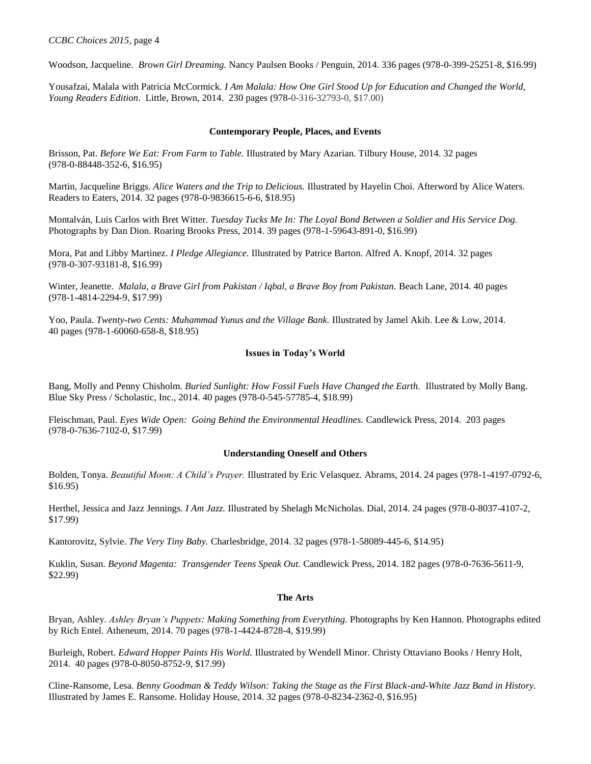*CCBC Choices 2015,* page 4

Woodson, Jacqueline. *Brown Girl Dreaming.* Nancy Paulsen Books / Penguin, 2014. 336 pages (978-0-399-25251-8, \$16.99)

Yousafzai, Malala with Patricia McCormick. *I Am Malala: How One Girl Stood Up for Education and Changed the World, Young Readers Edition*. Little, Brown, 2014. 230 pages (978-0-316-32793-0, \$17.00)

# **Contemporary People, Places, and Events**

Brisson, Pat. *Before We Eat: From Farm to Table.* Illustrated by Mary Azarian. Tilbury House, 2014. 32 pages (978-0-88448-352-6, \$16.95)

Martin, Jacqueline Briggs. *Alice Waters and the Trip to Delicious.* Illustrated by Hayelin Choi. Afterword by Alice Waters. Readers to Eaters, 2014. 32 pages (978-0-9836615-6-6, \$18.95)

Montalván, Luis Carlos with Bret Witter. *Tuesday Tucks Me In: The Loyal Bond Between a Soldier and His Service Dog.* Photographs by Dan Dion. Roaring Brooks Press, 2014. 39 pages (978-1-59643-891-0, \$16.99)

Mora, Pat and Libby Martinez. *I Pledge Allegiance.* Illustrated by Patrice Barton. Alfred A. Knopf, 2014. 32 pages (978-0-307-93181-8, \$16.99)

Winter, Jeanette. *Malala, a Brave Girl from Pakistan / Iqbal, a Brave Boy from Pakistan.* Beach Lane, 2014. 40 pages (978-1-4814-2294-9, \$17.99)

Yoo, Paula. *Twenty-two Cents: Muhammad Yunus and the Village Bank.* Illustrated by Jamel Akib. Lee & Low, 2014. 40 pages (978-1-60060-658-8, \$18.95)

# **Issues in Today's World**

Bang, Molly and Penny Chisholm. *Buried Sunlight: How Fossil Fuels Have Changed the Earth.* Illustrated by Molly Bang. Blue Sky Press / Scholastic, Inc., 2014. 40 pages (978-0-545-57785-4, \$18.99)

Fleischman, Paul. *Eyes Wide Open: Going Behind the Environmental Headlines.* Candlewick Press, 2014. 203 pages (978-0-7636-7102-0, \$17.99)

## **Understanding Oneself and Others**

Bolden, Tonya. *Beautiful Moon: A Child's Prayer.* Illustrated by Eric Velasquez. Abrams, 2014. 24 pages (978-1-4197-0792-6, \$16.95)

Herthel, Jessica and Jazz Jennings. *I Am Jazz.* Illustrated by Shelagh McNicholas. Dial, 2014. 24 pages (978-0-8037-4107-2, \$17.99)

Kantorovitz, Sylvie. *The Very Tiny Baby.* Charlesbridge, 2014. 32 pages (978-1-58089-445-6, \$14.95)

Kuklin, Susan. *Beyond Magenta: Transgender Teens Speak Out.* Candlewick Press, 2014. 182 pages (978-0-7636-5611-9, \$22.99)

## **The Arts**

Bryan, Ashley. *Ashley Bryan's Puppets: Making Something from Everything.* Photographs by Ken Hannon. Photographs edited by Rich Entel. Atheneum, 2014. 70 pages (978-1-4424-8728-4, \$19.99)

Burleigh, Robert. *Edward Hopper Paints His World.* Illustrated by Wendell Minor. Christy Ottaviano Books / Henry Holt, 2014. 40 pages (978-0-8050-8752-9, \$17.99)

Cline-Ransome, Lesa. *Benny Goodman & Teddy Wilson: Taking the Stage as the First Black-and-White Jazz Band in History.* Illustrated by James E. Ransome. Holiday House, 2014. 32 pages (978-0-8234-2362-0, \$16.95)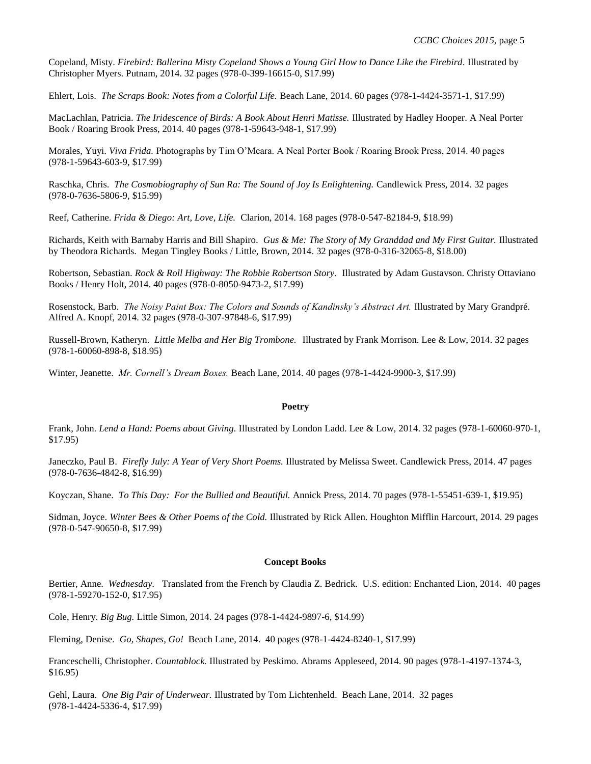Copeland, Misty. *Firebird: Ballerina Misty Copeland Shows a Young Girl How to Dance Like the Firebird.* Illustrated by Christopher Myers. Putnam, 2014. 32 pages (978-0-399-16615-0, \$17.99)

Ehlert, Lois. *The Scraps Book: Notes from a Colorful Life.* Beach Lane, 2014. 60 pages (978-1-4424-3571-1, \$17.99)

MacLachlan, Patricia. *The Iridescence of Birds: A Book About Henri Matisse.* Illustrated by Hadley Hooper. A Neal Porter Book / Roaring Brook Press, 2014. 40 pages (978-1-59643-948-1, \$17.99)

Morales, Yuyi. *Viva Frida.* Photographs by Tim O'Meara. A Neal Porter Book / Roaring Brook Press, 2014. 40 pages (978-1-59643-603-9, \$17.99)

Raschka, Chris. *The Cosmobiography of Sun Ra: The Sound of Joy Is Enlightening.* Candlewick Press, 2014. 32 pages (978-0-7636-5806-9, \$15.99)

Reef, Catherine. *Frida & Diego: Art, Love, Life.* Clarion, 2014. 168 pages (978-0-547-82184-9, \$18.99)

Richards, Keith with Barnaby Harris and Bill Shapiro. *Gus & Me: The Story of My Granddad and My First Guitar.* Illustrated by Theodora Richards. Megan Tingley Books / Little, Brown, 2014. 32 pages (978-0-316-32065-8, \$18.00)

Robertson, Sebastian. *Rock & Roll Highway: The Robbie Robertson Story.* Illustrated by Adam Gustavson. Christy Ottaviano Books / Henry Holt, 2014. 40 pages (978-0-8050-9473-2, \$17.99)

Rosenstock, Barb. *The Noisy Paint Box: The Colors and Sounds of Kandinsky's Abstract Art.* Illustrated by Mary Grandpré. Alfred A. Knopf, 2014. 32 pages (978-0-307-97848-6, \$17.99)

Russell-Brown, Katheryn. *Little Melba and Her Big Trombone.* Illustrated by Frank Morrison. Lee & Low, 2014. 32 pages (978-1-60060-898-8, \$18.95)

Winter, Jeanette. *Mr. Cornell's Dream Boxes.* Beach Lane, 2014. 40 pages (978-1-4424-9900-3, \$17.99)

#### **Poetry**

Frank, John. *Lend a Hand: Poems about Giving.* Illustrated by London Ladd. Lee & Low, 2014. 32 pages (978-1-60060-970-1, \$17.95)

Janeczko, Paul B. *Firefly July: A Year of Very Short Poems.* Illustrated by Melissa Sweet. Candlewick Press, 2014. 47 pages (978-0-7636-4842-8, \$16.99)

Koyczan, Shane. *To This Day: For the Bullied and Beautiful.* Annick Press, 2014. 70 pages (978-1-55451-639-1, \$19.95)

Sidman, Joyce. *Winter Bees & Other Poems of the Cold.* Illustrated by Rick Allen. Houghton Mifflin Harcourt, 2014. 29 pages (978-0-547-90650-8, \$17.99)

#### **Concept Books**

Bertier, Anne. *Wednesday.* Translated from the French by Claudia Z. Bedrick. U.S. edition: Enchanted Lion, 2014. 40 pages (978-1-59270-152-0, \$17.95)

Cole, Henry. *Big Bug.* Little Simon, 2014. 24 pages (978-1-4424-9897-6, \$14.99)

Fleming, Denise. *Go, Shapes, Go!* Beach Lane, 2014. 40 pages (978-1-4424-8240-1, \$17.99)

Franceschelli, Christopher. *Countablock.* Illustrated by Peskimo. Abrams Appleseed, 2014. 90 pages (978-1-4197-1374-3, \$16.95)

Gehl, Laura. *One Big Pair of Underwear.* Illustrated by Tom Lichtenheld. Beach Lane, 2014. 32 pages (978-1-4424-5336-4, \$17.99)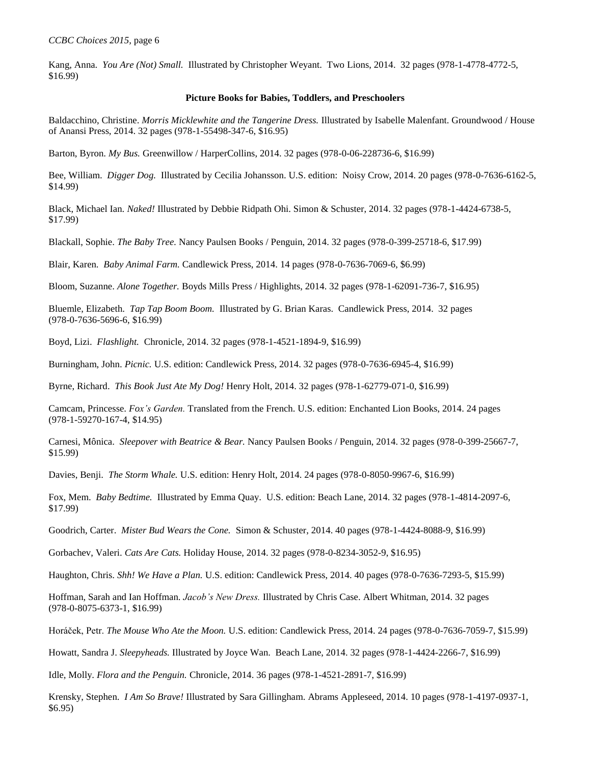Kang, Anna. *You Are (Not) Small.* Illustrated by Christopher Weyant. Two Lions, 2014. 32 pages (978-1-4778-4772-5, \$16.99)

### **Picture Books for Babies, Toddlers, and Preschoolers**

Baldacchino, Christine. *Morris Micklewhite and the Tangerine Dress.* Illustrated by Isabelle Malenfant. Groundwood / House of Anansi Press, 2014. 32 pages (978-1-55498-347-6, \$16.95)

Barton, Byron. *My Bus.* Greenwillow / HarperCollins, 2014. 32 pages (978-0-06-228736-6, \$16.99)

Bee, William. *Digger Dog.* Illustrated by Cecilia Johansson. U.S. edition: Noisy Crow, 2014. 20 pages (978-0-7636-6162-5, \$14.99)

Black, Michael Ian. *Naked!* Illustrated by Debbie Ridpath Ohi. Simon & Schuster, 2014. 32 pages (978-1-4424-6738-5, \$17.99)

Blackall, Sophie. *The Baby Tree.* Nancy Paulsen Books / Penguin, 2014. 32 pages (978-0-399-25718-6, \$17.99)

Blair, Karen. *Baby Animal Farm.* Candlewick Press, 2014. 14 pages (978-0-7636-7069-6, \$6.99)

Bloom, Suzanne. *Alone Together.* Boyds Mills Press / Highlights, 2014. 32 pages (978-1-62091-736-7, \$16.95)

Bluemle, Elizabeth. *Tap Tap Boom Boom.* Illustrated by G. Brian Karas. Candlewick Press, 2014. 32 pages (978-0-7636-5696-6, \$16.99)

Boyd, Lizi. *Flashlight.* Chronicle, 2014. 32 pages (978-1-4521-1894-9, \$16.99)

Burningham, John. *Picnic.* U.S. edition: Candlewick Press, 2014. 32 pages (978-0-7636-6945-4, \$16.99)

Byrne, Richard. *This Book Just Ate My Dog!* Henry Holt, 2014. 32 pages (978-1-62779-071-0, \$16.99)

Camcam, Princesse. *Fox's Garden.* Translated from the French. U.S. edition: Enchanted Lion Books, 2014. 24 pages (978-1-59270-167-4, \$14.95)

Carnesi, Mônica. *Sleepover with Beatrice & Bear.* Nancy Paulsen Books / Penguin, 2014. 32 pages (978-0-399-25667-7, \$15.99)

Davies, Benji. *The Storm Whale.* U.S. edition: Henry Holt, 2014. 24 pages (978-0-8050-9967-6, \$16.99)

Fox, Mem. *Baby Bedtime.* Illustrated by Emma Quay. U.S. edition: Beach Lane, 2014. 32 pages (978-1-4814-2097-6, \$17.99)

Goodrich, Carter. *Mister Bud Wears the Cone.* Simon & Schuster, 2014. 40 pages (978-1-4424-8088-9, \$16.99)

Gorbachev, Valeri. *Cats Are Cats.* Holiday House, 2014. 32 pages (978-0-8234-3052-9, \$16.95)

Haughton, Chris. *Shh! We Have a Plan.* U.S. edition: Candlewick Press, 2014. 40 pages (978-0-7636-7293-5, \$15.99)

Hoffman, Sarah and Ian Hoffman. *Jacob's New Dress.* Illustrated by Chris Case. Albert Whitman, 2014. 32 pages (978-0-8075-6373-1, \$16.99)

Horáček, Petr. *The Mouse Who Ate the Moon.* U.S. edition: Candlewick Press, 2014. 24 pages (978-0-7636-7059-7, \$15.99)

Howatt, Sandra J. *Sleepyheads.* Illustrated by Joyce Wan. Beach Lane, 2014. 32 pages (978-1-4424-2266-7, \$16.99)

Idle, Molly. *Flora and the Penguin.* Chronicle, 2014. 36 pages (978-1-4521-2891-7, \$16.99)

Krensky, Stephen. *I Am So Brave!* Illustrated by Sara Gillingham. Abrams Appleseed, 2014. 10 pages (978-1-4197-0937-1, \$6.95)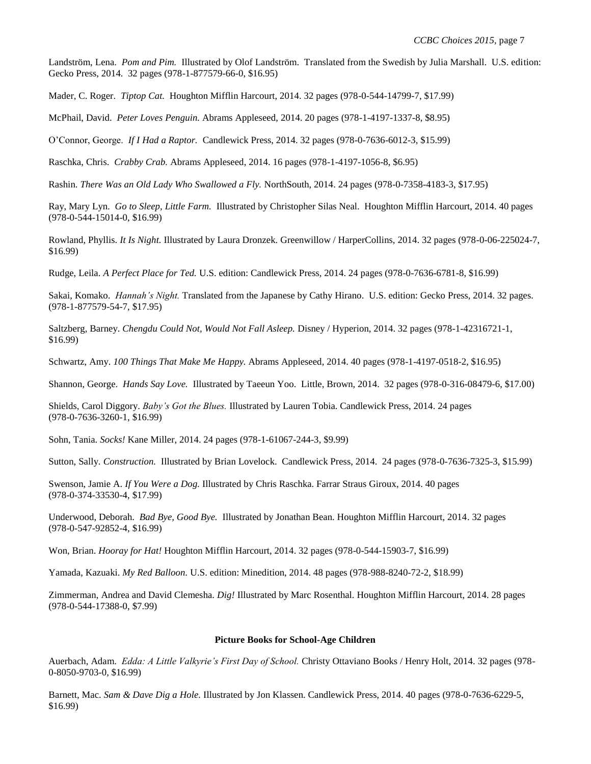Landström, Lena. *Pom and Pim.* Illustrated by Olof Landström. Translated from the Swedish by Julia Marshall. U.S. edition: Gecko Press, 2014. 32 pages (978-1-877579-66-0, \$16.95)

Mader, C. Roger. *Tiptop Cat.* Houghton Mifflin Harcourt, 2014. 32 pages (978-0-544-14799-7, \$17.99)

McPhail, David. *Peter Loves Penguin.* Abrams Appleseed, 2014. 20 pages (978-1-4197-1337-8, \$8.95)

O'Connor, George. *If I Had a Raptor.* Candlewick Press, 2014. 32 pages (978-0-7636-6012-3, \$15.99)

Raschka, Chris. *Crabby Crab.* Abrams Appleseed, 2014. 16 pages (978-1-4197-1056-8, \$6.95)

Rashin. *There Was an Old Lady Who Swallowed a Fly.* NorthSouth, 2014. 24 pages (978-0-7358-4183-3, \$17.95)

Ray, Mary Lyn. *Go to Sleep, Little Farm.* Illustrated by Christopher Silas Neal. Houghton Mifflin Harcourt, 2014. 40 pages (978-0-544-15014-0, \$16.99)

Rowland, Phyllis. *It Is Night.* Illustrated by Laura Dronzek. Greenwillow / HarperCollins, 2014. 32 pages (978-0-06-225024-7, \$16.99)

Rudge, Leila. *A Perfect Place for Ted.* U.S. edition: Candlewick Press, 2014. 24 pages (978-0-7636-6781-8, \$16.99)

Sakai, Komako. *Hannah's Night.* Translated from the Japanese by Cathy Hirano. U.S. edition: Gecko Press, 2014. 32 pages. (978-1-877579-54-7, \$17.95)

Saltzberg, Barney. *Chengdu Could Not, Would Not Fall Asleep.* Disney / Hyperion, 2014. 32 pages (978-1-42316721-1, \$16.99)

Schwartz, Amy. *100 Things That Make Me Happy.* Abrams Appleseed, 2014. 40 pages (978-1-4197-0518-2, \$16.95)

Shannon, George. *Hands Say Love.* Illustrated by Taeeun Yoo. Little, Brown, 2014. 32 pages (978-0-316-08479-6, \$17.00)

Shields, Carol Diggory. *Baby's Got the Blues.* Illustrated by Lauren Tobia. Candlewick Press, 2014. 24 pages (978-0-7636-3260-1, \$16.99)

Sohn, Tania. *Socks!* Kane Miller, 2014. 24 pages (978-1-61067-244-3, \$9.99)

Sutton, Sally. *Construction.* Illustrated by Brian Lovelock. Candlewick Press, 2014. 24 pages (978-0-7636-7325-3, \$15.99)

Swenson, Jamie A. *If You Were a Dog.* Illustrated by Chris Raschka. Farrar Straus Giroux, 2014. 40 pages (978-0-374-33530-4, \$17.99)

Underwood, Deborah. *Bad Bye, Good Bye.* Illustrated by Jonathan Bean. Houghton Mifflin Harcourt, 2014. 32 pages (978-0-547-92852-4, \$16.99)

Won, Brian. *Hooray for Hat!* Houghton Mifflin Harcourt, 2014. 32 pages (978-0-544-15903-7, \$16.99)

Yamada, Kazuaki. *My Red Balloon.* U.S. edition: Minedition, 2014. 48 pages (978-988-8240-72-2, \$18.99)

Zimmerman, Andrea and David Clemesha. *Dig!* Illustrated by Marc Rosenthal. Houghton Mifflin Harcourt, 2014. 28 pages (978-0-544-17388-0, \$7.99)

#### **Picture Books for School-Age Children**

Auerbach, Adam. *Edda: A Little Valkyrie's First Day of School.* Christy Ottaviano Books / Henry Holt, 2014. 32 pages (978- 0-8050-9703-0, \$16.99)

Barnett, Mac. *Sam & Dave Dig a Hole.* Illustrated by Jon Klassen. Candlewick Press, 2014. 40 pages (978-0-7636-6229-5, \$16.99)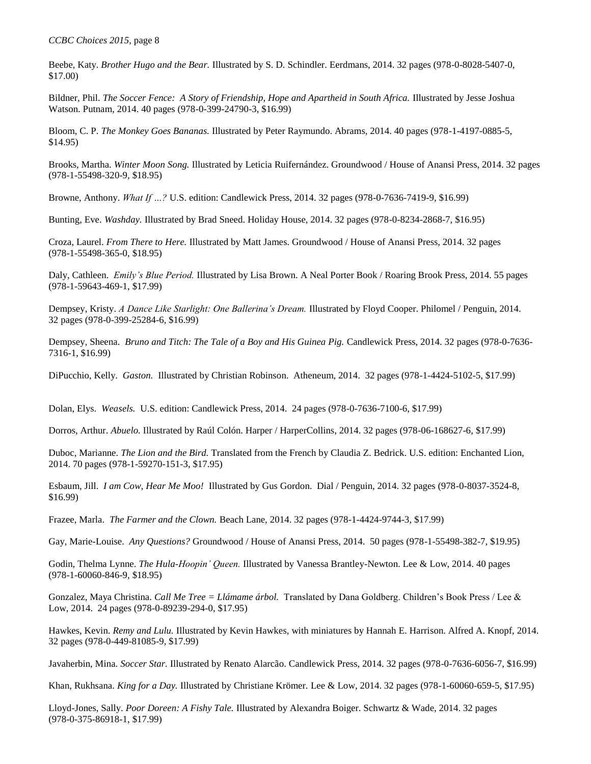Beebe, Katy. *Brother Hugo and the Bear.* Illustrated by S. D. Schindler. Eerdmans, 2014. 32 pages (978-0-8028-5407-0, \$17.00)

Bildner, Phil. *The Soccer Fence: A Story of Friendship, Hope and Apartheid in South Africa.* Illustrated by Jesse Joshua Watson. Putnam, 2014. 40 pages (978-0-399-24790-3, \$16.99)

Bloom, C. P. *The Monkey Goes Bananas.* Illustrated by Peter Raymundo. Abrams, 2014. 40 pages (978-1-4197-0885-5, \$14.95)

Brooks, Martha. *Winter Moon Song.* Illustrated by Leticia Ruifernández. Groundwood / House of Anansi Press, 2014. 32 pages (978-1-55498-320-9, \$18.95)

Browne, Anthony. *What If …?* U.S. edition: Candlewick Press, 2014. 32 pages (978-0-7636-7419-9, \$16.99)

Bunting, Eve. *Washday.* Illustrated by Brad Sneed. Holiday House, 2014. 32 pages (978-0-8234-2868-7, \$16.95)

Croza, Laurel. *From There to Here.* Illustrated by Matt James. Groundwood / House of Anansi Press, 2014. 32 pages (978-1-55498-365-0, \$18.95)

Daly, Cathleen. *Emily's Blue Period.* Illustrated by Lisa Brown. A Neal Porter Book / Roaring Brook Press, 2014. 55 pages (978-1-59643-469-1, \$17.99)

Dempsey, Kristy. *A Dance Like Starlight: One Ballerina's Dream.* Illustrated by Floyd Cooper. Philomel / Penguin, 2014. 32 pages (978-0-399-25284-6, \$16.99)

Dempsey, Sheena. *Bruno and Titch: The Tale of a Boy and His Guinea Pig.* Candlewick Press, 2014. 32 pages (978-0-7636- 7316-1, \$16.99)

DiPucchio, Kelly. *Gaston.* Illustrated by Christian Robinson. Atheneum, 2014. 32 pages (978-1-4424-5102-5, \$17.99)

Dolan, Elys. *Weasels.* U.S. edition: Candlewick Press, 2014. 24 pages (978-0-7636-7100-6, \$17.99)

Dorros, Arthur. *Abuelo*. Illustrated by Raúl Colón. Harper / HarperCollins, 2014. 32 pages (978-06-168627-6, \$17.99)

Duboc, Marianne. *The Lion and the Bird.* Translated from the French by Claudia Z. Bedrick. U.S. edition: Enchanted Lion, 2014. 70 pages (978-1-59270-151-3, \$17.95)

Esbaum, Jill. *I am Cow, Hear Me Moo!* Illustrated by Gus Gordon. Dial / Penguin, 2014. 32 pages (978-0-8037-3524-8, \$16.99)

Frazee, Marla. *The Farmer and the Clown.* Beach Lane, 2014. 32 pages (978-1-4424-9744-3, \$17.99)

Gay, Marie-Louise. *Any Questions?* Groundwood / House of Anansi Press, 2014. 50 pages (978-1-55498-382-7, \$19.95)

Godin, Thelma Lynne. *The Hula-Hoopin' Queen.* Illustrated by Vanessa Brantley-Newton. Lee & Low, 2014. 40 pages (978-1-60060-846-9, \$18.95)

Gonzalez, Maya Christina. *Call Me Tree = Llámame árbol.* Translated by Dana Goldberg. Children's Book Press / Lee & Low, 2014. 24 pages (978-0-89239-294-0, \$17.95)

Hawkes, Kevin. *Remy and Lulu.* Illustrated by Kevin Hawkes, with miniatures by Hannah E. Harrison. Alfred A. Knopf, 2014. 32 pages (978-0-449-81085-9, \$17.99)

Javaherbin, Mina. *Soccer Star.* Illustrated by Renato Alarcão. Candlewick Press, 2014. 32 pages (978-0-7636-6056-7, \$16.99)

Khan, Rukhsana. *King for a Day.* Illustrated by Christiane Krömer. Lee & Low, 2014. 32 pages (978-1-60060-659-5, \$17.95)

Lloyd-Jones, Sally. *Poor Doreen: A Fishy Tale.* Illustrated by Alexandra Boiger. Schwartz & Wade, 2014. 32 pages (978-0-375-86918-1, \$17.99)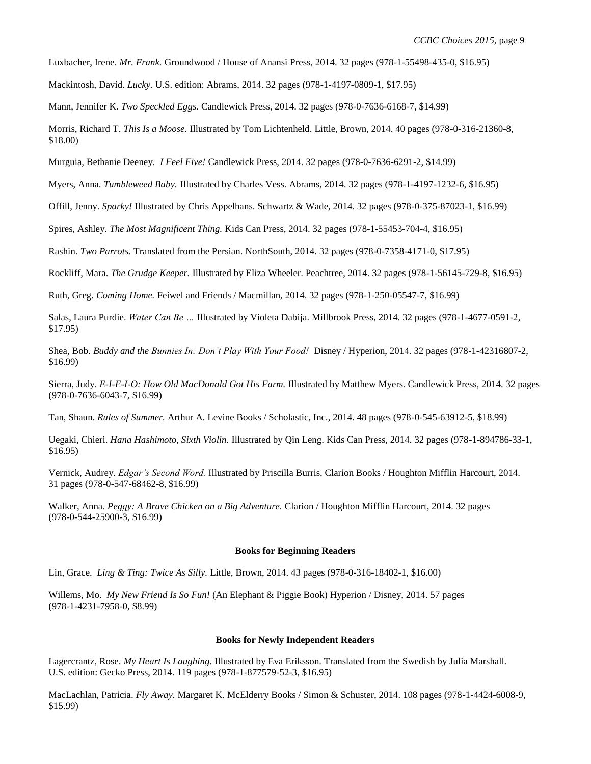Luxbacher, Irene. *Mr. Frank.* Groundwood / House of Anansi Press, 2014. 32 pages (978-1-55498-435-0, \$16.95)

Mackintosh, David. *Lucky.* U.S. edition: Abrams, 2014. 32 pages (978-1-4197-0809-1, \$17.95)

Mann, Jennifer K. *Two Speckled Eggs.* Candlewick Press, 2014. 32 pages (978-0-7636-6168-7, \$14.99)

Morris, Richard T. *This Is a Moose.* Illustrated by Tom Lichtenheld. Little, Brown, 2014. 40 pages (978-0-316-21360-8, \$18.00)

Murguia, Bethanie Deeney. *I Feel Five!* Candlewick Press, 2014. 32 pages (978-0-7636-6291-2, \$14.99)

Myers, Anna. *Tumbleweed Baby.* Illustrated by Charles Vess. Abrams, 2014. 32 pages (978-1-4197-1232-6, \$16.95)

Offill, Jenny. *Sparky!* Illustrated by Chris Appelhans. Schwartz & Wade, 2014. 32 pages (978-0-375-87023-1, \$16.99)

Spires, Ashley. *The Most Magnificent Thing.* Kids Can Press, 2014. 32 pages (978-1-55453-704-4, \$16.95)

Rashin. *Two Parrots.* Translated from the Persian. NorthSouth, 2014. 32 pages (978-0-7358-4171-0, \$17.95)

Rockliff, Mara. *The Grudge Keeper.* Illustrated by Eliza Wheeler. Peachtree, 2014. 32 pages (978-1-56145-729-8, \$16.95)

Ruth, Greg. *Coming Home.* Feiwel and Friends / Macmillan, 2014. 32 pages (978-1-250-05547-7, \$16.99)

Salas, Laura Purdie. *Water Can Be …* Illustrated by Violeta Dabija. Millbrook Press, 2014. 32 pages (978-1-4677-0591-2, \$17.95)

Shea, Bob. *Buddy and the Bunnies In: Don't Play With Your Food!* Disney / Hyperion, 2014. 32 pages (978-1-42316807-2, \$16.99)

Sierra, Judy. *E-I-E-I-O: How Old MacDonald Got His Farm.* Illustrated by Matthew Myers. Candlewick Press, 2014. 32 pages (978-0-7636-6043-7, \$16.99)

Tan, Shaun. *Rules of Summer.* Arthur A. Levine Books / Scholastic, Inc., 2014. 48 pages (978-0-545-63912-5, \$18.99)

Uegaki, Chieri. *Hana Hashimoto, Sixth Violin.* Illustrated by Qin Leng. Kids Can Press, 2014. 32 pages (978-1-894786-33-1, \$16.95)

Vernick, Audrey. *Edgar's Second Word.* Illustrated by Priscilla Burris. Clarion Books / Houghton Mifflin Harcourt, 2014. 31 pages (978-0-547-68462-8, \$16.99)

Walker, Anna. *Peggy: A Brave Chicken on a Big Adventure.* Clarion / Houghton Mifflin Harcourt, 2014. 32 pages (978-0-544-25900-3, \$16.99)

# **Books for Beginning Readers**

Lin, Grace. *Ling & Ting: Twice As Silly.* Little, Brown, 2014. 43 pages (978-0-316-18402-1, \$16.00)

Willems, Mo. *My New Friend Is So Fun!* (An Elephant & Piggie Book) Hyperion / Disney, 2014. 57 pages (978-1-4231-7958-0, \$8.99)

#### **Books for Newly Independent Readers**

Lagercrantz, Rose. *My Heart Is Laughing.* Illustrated by Eva Eriksson. Translated from the Swedish by Julia Marshall. U.S. edition: Gecko Press, 2014. 119 pages (978-1-877579-52-3, \$16.95)

MacLachlan, Patricia. *Fly Away.* Margaret K. McElderry Books / Simon & Schuster, 2014. 108 pages (978-1-4424-6008-9, \$15.99)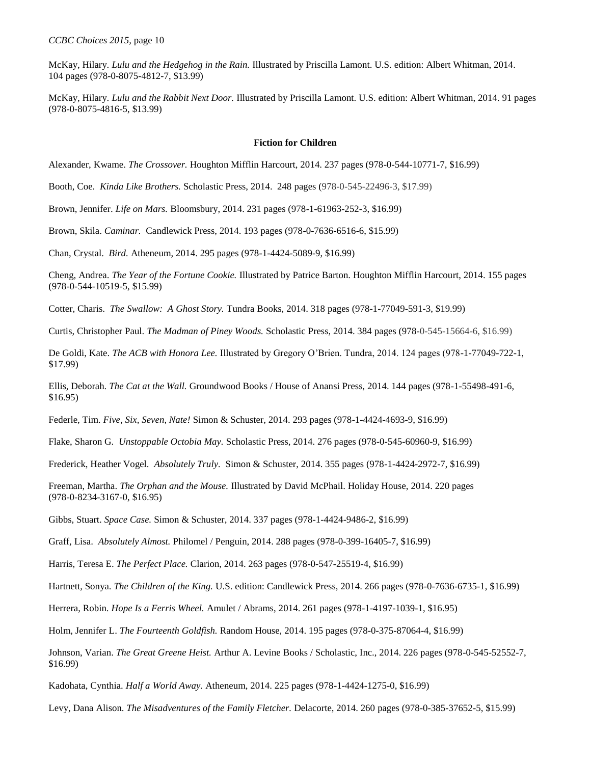McKay, Hilary. *Lulu and the Hedgehog in the Rain.* Illustrated by Priscilla Lamont. U.S. edition: Albert Whitman, 2014. 104 pages (978-0-8075-4812-7, \$13.99)

McKay, Hilary. *Lulu and the Rabbit Next Door.* Illustrated by Priscilla Lamont. U.S. edition: Albert Whitman, 2014. 91 pages (978-0-8075-4816-5, \$13.99)

### **Fiction for Children**

Alexander, Kwame. *The Crossover.* Houghton Mifflin Harcourt, 2014. 237 pages (978-0-544-10771-7, \$16.99)

Booth, Coe. *Kinda Like Brothers.* Scholastic Press, 2014. 248 pages (978-0-545-22496-3, \$17.99)

Brown, Jennifer. *Life on Mars.* Bloomsbury, 2014. 231 pages (978-1-61963-252-3, \$16.99)

Brown, Skila. *Caminar.* Candlewick Press, 2014. 193 pages (978-0-7636-6516-6, \$15.99)

Chan, Crystal. *Bird.* Atheneum, 2014. 295 pages (978-1-4424-5089-9, \$16.99)

Cheng, Andrea. *The Year of the Fortune Cookie.* Illustrated by Patrice Barton. Houghton Mifflin Harcourt, 2014. 155 pages (978-0-544-10519-5, \$15.99)

Cotter, Charis. *The Swallow: A Ghost Story.* Tundra Books, 2014. 318 pages (978-1-77049-591-3, \$19.99)

Curtis, Christopher Paul. *The Madman of Piney Woods.* Scholastic Press, 2014. 384 pages (978-0-545-15664-6, \$16.99)

De Goldi, Kate. *The ACB with Honora Lee.* Illustrated by Gregory O'Brien. Tundra, 2014. 124 pages (978-1-77049-722-1, \$17.99)

Ellis, Deborah. *The Cat at the Wall.* Groundwood Books / House of Anansi Press, 2014. 144 pages (978-1-55498-491-6, \$16.95)

Federle, Tim. *Five, Six, Seven, Nate!* Simon & Schuster, 2014. 293 pages (978-1-4424-4693-9, \$16.99)

Flake, Sharon G. *Unstoppable Octobia May.* Scholastic Press, 2014. 276 pages (978-0-545-60960-9, \$16.99)

Frederick, Heather Vogel. *Absolutely Truly.* Simon & Schuster, 2014. 355 pages (978-1-4424-2972-7, \$16.99)

Freeman, Martha. *The Orphan and the Mouse.* Illustrated by David McPhail. Holiday House, 2014. 220 pages (978-0-8234-3167-0, \$16.95)

Gibbs, Stuart. *Space Case.* Simon & Schuster, 2014. 337 pages (978-1-4424-9486-2, \$16.99)

Graff, Lisa. *Absolutely Almost.* Philomel / Penguin, 2014. 288 pages (978-0-399-16405-7, \$16.99)

Harris, Teresa E. *The Perfect Place.* Clarion, 2014. 263 pages (978-0-547-25519-4, \$16.99)

Hartnett, Sonya. *The Children of the King.* U.S. edition: Candlewick Press, 2014. 266 pages (978-0-7636-6735-1, \$16.99)

Herrera, Robin. *Hope Is a Ferris Wheel.* Amulet / Abrams, 2014. 261 pages (978-1-4197-1039-1, \$16.95)

Holm, Jennifer L. *The Fourteenth Goldfish.* Random House, 2014. 195 pages (978-0-375-87064-4, \$16.99)

Johnson, Varian. *The Great Greene Heist.* Arthur A. Levine Books / Scholastic, Inc., 2014. 226 pages (978-0-545-52552-7, \$16.99)

Kadohata, Cynthia. *Half a World Away.* Atheneum, 2014. 225 pages (978-1-4424-1275-0, \$16.99)

Levy, Dana Alison. *The Misadventures of the Family Fletcher.* Delacorte, 2014. 260 pages (978-0-385-37652-5, \$15.99)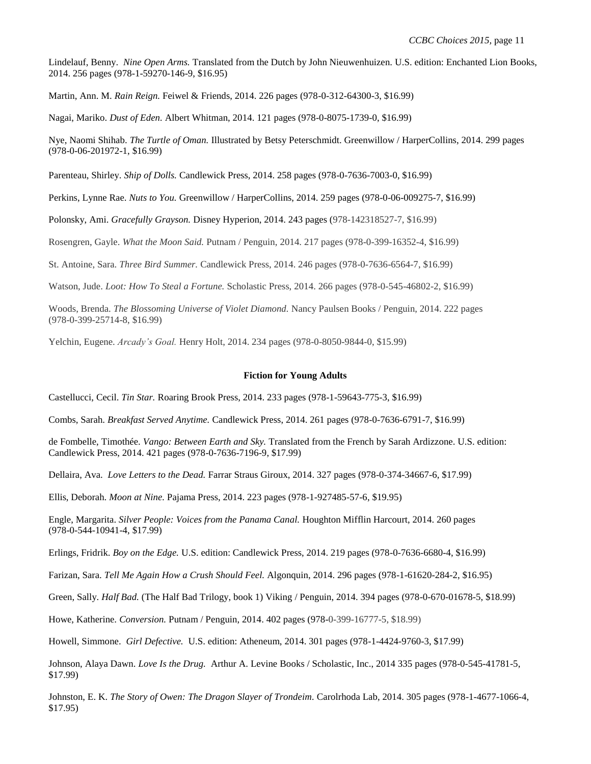Lindelauf, Benny. *Nine Open Arms.* Translated from the Dutch by John Nieuwenhuizen. U.S. edition: Enchanted Lion Books, 2014. 256 pages (978-1-59270-146-9, \$16.95)

Martin, Ann. M. *Rain Reign.* Feiwel & Friends, 2014. 226 pages (978-0-312-64300-3, \$16.99)

Nagai, Mariko. *Dust of Eden.* Albert Whitman, 2014. 121 pages (978-0-8075-1739-0, \$16.99)

Nye, Naomi Shihab. *The Turtle of Oman.* Illustrated by Betsy Peterschmidt. Greenwillow / HarperCollins, 2014. 299 pages (978-0-06-201972-1, \$16.99)

Parenteau, Shirley. *Ship of Dolls.* Candlewick Press, 2014. 258 pages (978-0-7636-7003-0, \$16.99)

Perkins, Lynne Rae. *Nuts to You.* Greenwillow / HarperCollins, 2014. 259 pages (978-0-06-009275-7, \$16.99)

Polonsky, Ami. *Gracefully Grayson.* Disney Hyperion, 2014. 243 pages (978-142318527-7, \$16.99)

Rosengren, Gayle. *What the Moon Said.* Putnam / Penguin, 2014. 217 pages (978-0-399-16352-4, \$16.99)

St. Antoine, Sara. *Three Bird Summer.* Candlewick Press, 2014. 246 pages (978-0-7636-6564-7, \$16.99)

Watson, Jude. *Loot: How To Steal a Fortune.* Scholastic Press, 2014. 266 pages (978-0-545-46802-2, \$16.99)

Woods, Brenda. *The Blossoming Universe of Violet Diamond.* Nancy Paulsen Books / Penguin, 2014. 222 pages (978-0-399-25714-8, \$16.99)

Yelchin, Eugene. *Arcady's Goal.* Henry Holt, 2014. 234 pages (978-0-8050-9844-0, \$15.99)

#### **Fiction for Young Adults**

Castellucci, Cecil. *Tin Star.* Roaring Brook Press, 2014. 233 pages (978-1-59643-775-3, \$16.99)

Combs, Sarah. *Breakfast Served Anytime.* Candlewick Press, 2014. 261 pages (978-0-7636-6791-7, \$16.99)

de Fombelle, Timothée. *Vango: Between Earth and Sky.* Translated from the French by Sarah Ardizzone. U.S. edition: Candlewick Press, 2014. 421 pages (978-0-7636-7196-9, \$17.99)

Dellaira, Ava. *Love Letters to the Dead.* Farrar Straus Giroux, 2014. 327 pages (978-0-374-34667-6, \$17.99)

Ellis, Deborah. *Moon at Nine.* Pajama Press, 2014. 223 pages (978-1-927485-57-6, \$19.95)

Engle, Margarita. *Silver People: Voices from the Panama Canal.* Houghton Mifflin Harcourt, 2014. 260 pages (978-0-544-10941-4, \$17.99)

Erlings, Fridrik. *Boy on the Edge.* U.S. edition: Candlewick Press, 2014. 219 pages (978-0-7636-6680-4, \$16.99)

Farizan, Sara. *Tell Me Again How a Crush Should Feel.* Algonquin, 2014. 296 pages (978-1-61620-284-2, \$16.95)

Green, Sally. *Half Bad.* (The Half Bad Trilogy, book 1) Viking / Penguin, 2014. 394 pages (978-0-670-01678-5, \$18.99)

Howe, Katherine. *Conversion.* Putnam / Penguin, 2014. 402 pages (978-0-399-16777-5, \$18.99)

Howell, Simmone. *Girl Defective.* U.S. edition: Atheneum, 2014. 301 pages (978-1-4424-9760-3, \$17.99)

Johnson, Alaya Dawn. *Love Is the Drug.* Arthur A. Levine Books / Scholastic, Inc., 2014 335 pages (978-0-545-41781-5, \$17.99)

Johnston, E. K. *The Story of Owen: The Dragon Slayer of Trondeim.* Carolrhoda Lab, 2014. 305 pages (978-1-4677-1066-4, \$17.95)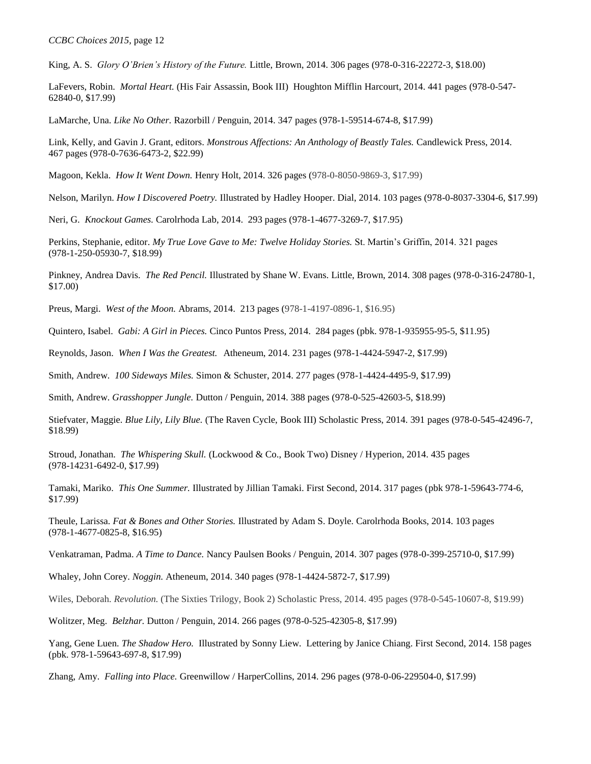King, A. S. *Glory O'Brien's History of the Future.* Little, Brown, 2014. 306 pages (978-0-316-22272-3, \$18.00)

LaFevers, Robin. *Mortal Heart.* (His Fair Assassin, Book III) Houghton Mifflin Harcourt, 2014. 441 pages (978-0-547- 62840-0, \$17.99)

LaMarche, Una. *Like No Other.* Razorbill / Penguin, 2014. 347 pages (978-1-59514-674-8, \$17.99)

Link, Kelly, and Gavin J. Grant, editors. *Monstrous Affections: An Anthology of Beastly Tales.* Candlewick Press, 2014. 467 pages (978-0-7636-6473-2, \$22.99)

Magoon, Kekla. *How It Went Down.* Henry Holt, 2014. 326 pages (978-0-8050-9869-3, \$17.99)

Nelson, Marilyn. *How I Discovered Poetry.* Illustrated by Hadley Hooper. Dial, 2014. 103 pages (978-0-8037-3304-6, \$17.99)

Neri, G. *Knockout Games.* Carolrhoda Lab, 2014. 293 pages (978-1-4677-3269-7, \$17.95)

Perkins, Stephanie, editor. *My True Love Gave to Me: Twelve Holiday Stories.* St. Martin's Griffin, 2014. 321 pages (978-1-250-05930-7, \$18.99)

Pinkney, Andrea Davis. *The Red Pencil.* Illustrated by Shane W. Evans. Little, Brown, 2014. 308 pages (978-0-316-24780-1, \$17.00)

Preus, Margi. *West of the Moon.* Abrams, 2014. 213 pages (978-1-4197-0896-1, \$16.95)

Quintero, Isabel. *Gabi: A Girl in Pieces.* Cinco Puntos Press, 2014. 284 pages (pbk. 978-1-935955-95-5, \$11.95)

Reynolds, Jason. *When I Was the Greatest.* Atheneum, 2014. 231 pages (978-1-4424-5947-2, \$17.99)

Smith, Andrew. *100 Sideways Miles.* Simon & Schuster, 2014. 277 pages (978-1-4424-4495-9, \$17.99)

Smith, Andrew. *Grasshopper Jungle.* Dutton / Penguin, 2014. 388 pages (978-0-525-42603-5, \$18.99)

Stiefvater, Maggie. *Blue Lily, Lily Blue.* (The Raven Cycle, Book III) Scholastic Press, 2014. 391 pages (978-0-545-42496-7, \$18.99)

Stroud, Jonathan. *The Whispering Skull.* (Lockwood & Co., Book Two) Disney / Hyperion, 2014. 435 pages (978-14231-6492-0, \$17.99)

Tamaki, Mariko. *This One Summer.* Illustrated by Jillian Tamaki. First Second, 2014. 317 pages (pbk 978-1-59643-774-6, \$17.99)

Theule, Larissa. *Fat & Bones and Other Stories.* Illustrated by Adam S. Doyle. Carolrhoda Books, 2014. 103 pages (978-1-4677-0825-8, \$16.95)

Venkatraman, Padma. *A Time to Dance.* Nancy Paulsen Books / Penguin, 2014. 307 pages (978-0-399-25710-0, \$17.99)

Whaley, John Corey. *Noggin.* Atheneum, 2014. 340 pages (978-1-4424-5872-7, \$17.99)

Wiles, Deborah. *Revolution.* (The Sixties Trilogy, Book 2) Scholastic Press, 2014. 495 pages (978-0-545-10607-8, \$19.99)

Wolitzer, Meg. *Belzhar.* Dutton / Penguin, 2014. 266 pages (978-0-525-42305-8, \$17.99)

Yang, Gene Luen. *The Shadow Hero.* Illustrated by Sonny Liew. Lettering by Janice Chiang. First Second, 2014. 158 pages (pbk. 978-1-59643-697-8, \$17.99)

Zhang, Amy. *Falling into Place.* Greenwillow / HarperCollins, 2014. 296 pages (978-0-06-229504-0, \$17.99)